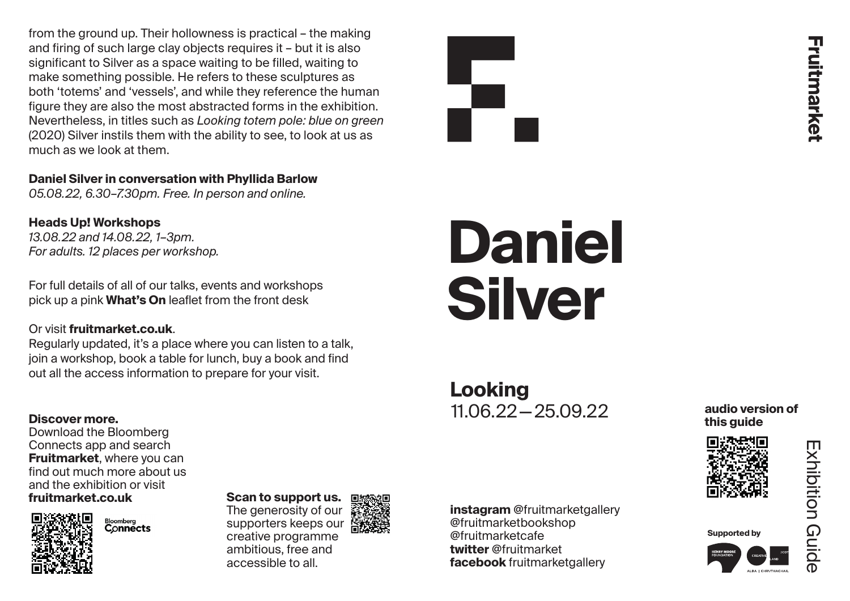from the ground up. Their hollowness is practical – the making and firing of such large clay objects requires it – but it is also significant to Silver as a space waiting to be filled, waiting to make something possible. He refers to these sculptures as both 'totems' and 'vessels', and while they reference the human figure they are also the most abstracted forms in the exhibition. Nevertheless, in titles such as *Looking totem pole: blue on green* (2020) Silver instils them with the ability to see, to look at us as much as we look at them.

## **Daniel Silver in conversation with Phyllida Barlow**

*05.08.22, 6.30–7.30pm. Free. In person and online.*

**Heads Up! Workshops** *13.08.22 and 14.08.22, 1–3pm. For adults. 12 places per workshop.*

For full details of all of our talks, events and workshops pick up a pink **What's On** leaflet from the front desk

## Or visit **fruitmarket.co.uk**.

Regularly updated, it's a place where you can listen to a talk, join a workshop, book a table for lunch, buy a book and find out all the access information to prepare for your visit.

## **Discover more.**

Download the Bloomberg Connects app and search **Fruitmarket**, where you can find out much more about us and the exhibition or visit **fruitmarket.co.uk**



Bloomberg Connects



creative programme ambitious, free and accessible to all.



## **Daniel Silver**

11.06.22 — 25.09.22 **Looking**



**audio version of this guide**



**Supported by**